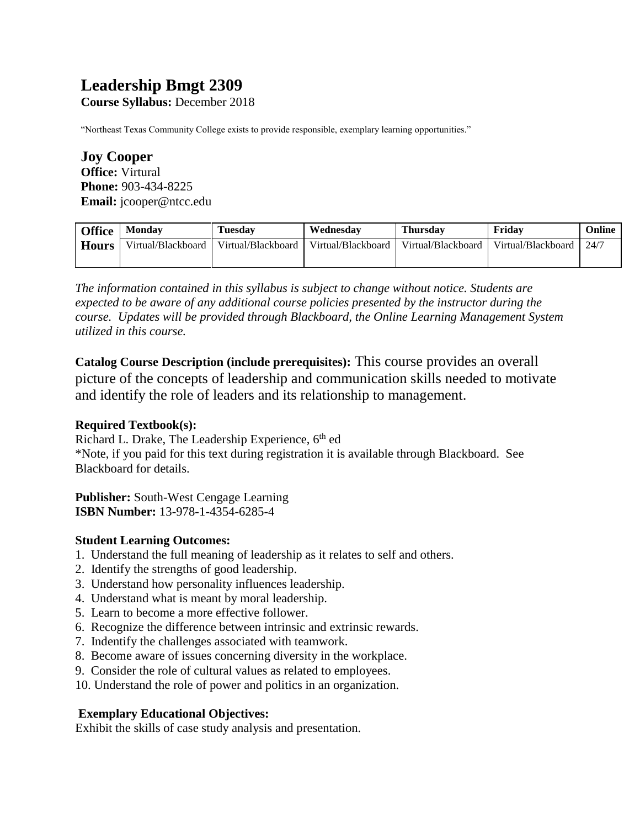# **Leadership Bmgt 2309**

**Course Syllabus:** December 2018

"Northeast Texas Community College exists to provide responsible, exemplary learning opportunities."

**Joy Cooper Office:** Virtural **Phone:** 903-434-8225 **Email:** jcooper@ntcc.edu

| <b>Office</b> | <b>Monday</b>      | <b>Tuesday</b>     | Wednesday          | <b>Thursday</b>    | Fridav             | Online |
|---------------|--------------------|--------------------|--------------------|--------------------|--------------------|--------|
| <b>Hours</b>  | Virtual/Blackboard | Virtual/Blackboard | Virtual/Blackboard | Virtual/Blackboard | Virtual/Blackboard | 124/7  |
|               |                    |                    |                    |                    |                    |        |

*The information contained in this syllabus is subject to change without notice. Students are expected to be aware of any additional course policies presented by the instructor during the course. Updates will be provided through Blackboard, the Online Learning Management System utilized in this course.* 

**Catalog Course Description (include prerequisites):** This course provides an overall picture of the concepts of leadership and communication skills needed to motivate and identify the role of leaders and its relationship to management.

#### **Required Textbook(s):**

Richard L. Drake, The Leadership Experience, 6<sup>th</sup> ed \*Note, if you paid for this text during registration it is available through Blackboard. See Blackboard for details.

**Publisher:** South-West Cengage Learning **ISBN Number:** 13-978-1-4354-6285-4

# **Student Learning Outcomes:**

- 1. Understand the full meaning of leadership as it relates to self and others.
- 2. Identify the strengths of good leadership.
- 3. Understand how personality influences leadership.
- 4. Understand what is meant by moral leadership.
- 5. Learn to become a more effective follower.
- 6. Recognize the difference between intrinsic and extrinsic rewards.
- 7. Indentify the challenges associated with teamwork.
- 8. Become aware of issues concerning diversity in the workplace.
- 9. Consider the role of cultural values as related to employees.
- 10. Understand the role of power and politics in an organization.

# **Exemplary Educational Objectives:**

Exhibit the skills of case study analysis and presentation.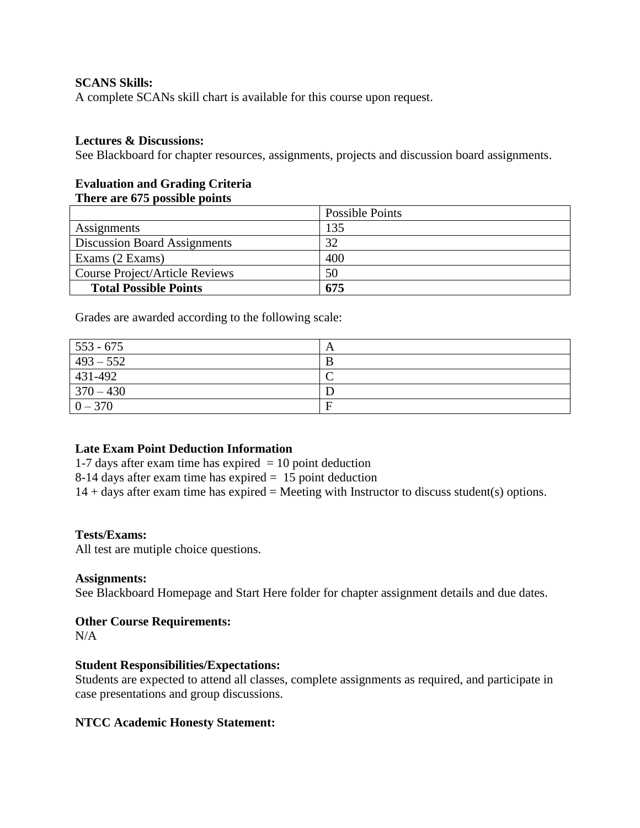## **SCANS Skills:**

A complete SCANs skill chart is available for this course upon request.

#### **Lectures & Discussions:**

See Blackboard for chapter resources, assignments, projects and discussion board assignments.

#### **Evaluation and Grading Criteria There are 675 possible points**

|                                       | Possible Points |
|---------------------------------------|-----------------|
| Assignments                           | 135             |
| <b>Discussion Board Assignments</b>   | 32              |
| Exams (2 Exams)                       | 400             |
| <b>Course Project/Article Reviews</b> | 50              |
| <b>Total Possible Points</b>          | 675             |

Grades are awarded according to the following scale:

| $553 - 675$       |   |
|-------------------|---|
| $1493 - 552$      |   |
| $ 431-492\rangle$ |   |
| $370 - 430$       |   |
| $0 - 370$         | E |

## **Late Exam Point Deduction Information**

1-7 days after exam time has expired  $= 10$  point deduction

8-14 days after exam time has expired = 15 point deduction

 $14 + \text{days}$  after exam time has expired = Meeting with Instructor to discuss student(s) options.

#### **Tests/Exams:**

All test are mutiple choice questions.

#### **Assignments:**

See Blackboard Homepage and Start Here folder for chapter assignment details and due dates.

#### **Other Course Requirements:**

 $N/A$ 

#### **Student Responsibilities/Expectations:**

Students are expected to attend all classes, complete assignments as required, and participate in case presentations and group discussions.

#### **NTCC Academic Honesty Statement:**